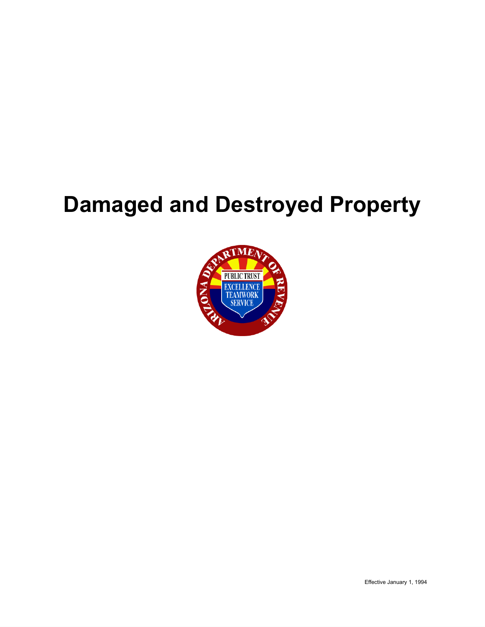# **Damaged and Destroyed Property**

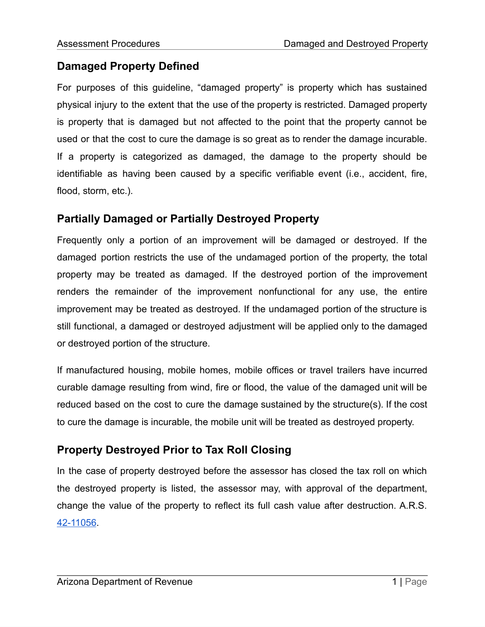### **Damaged Property Defined**

For purposes of this guideline, "damaged property" is property which has sustained physical injury to the extent that the use of the property is restricted. Damaged property is property that is damaged but not affected to the point that the property cannot be used or that the cost to cure the damage is so great as to render the damage incurable. If a property is categorized as damaged, the damage to the property should be identifiable as having been caused by a specific verifiable event (i.e., accident, fire, flood, storm, etc.).

### **Partially Damaged or Partially Destroyed Property**

Frequently only a portion of an improvement will be damaged or destroyed. If the damaged portion restricts the use of the undamaged portion of the property, the total property may be treated as damaged. If the destroyed portion of the improvement renders the remainder of the improvement nonfunctional for any use, the entire improvement may be treated as destroyed. If the undamaged portion of the structure is still functional, a damaged or destroyed adjustment will be applied only to the damaged or destroyed portion of the structure.

If manufactured housing, mobile homes, mobile offices or travel trailers have incurred curable damage resulting from wind, fire or flood, the value of the damaged unit will be reduced based on the cost to cure the damage sustained by the structure(s). If the cost to cure the damage is incurable, the mobile unit will be treated as destroyed property.

### **Property Destroyed Prior to Tax Roll Closing**

In the case of property destroyed before the assessor has closed the tax roll on which the destroyed property is listed, the assessor may, with approval of the department, change the value of the property to reflect its full cash value after destruction. A.R.S. [42-11056.](https://www.azleg.gov/viewDocument/?docName=http://www.azleg.gov/ars/42/11056.htm)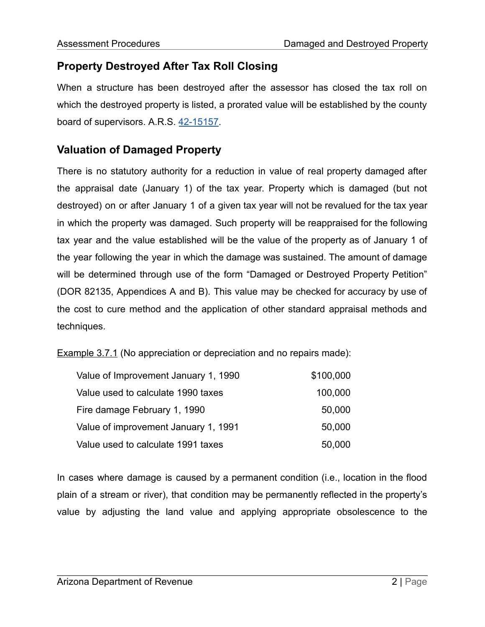### **Property Destroyed After Tax Roll Closing**

When a structure has been destroyed after the assessor has closed the tax roll on which the destroyed property is listed, a prorated value will be established by the county board of supervisors. A.R.S. [42-15157](https://www.azleg.gov/viewDocument/?docName=http://www.azleg.gov/ars/42/15157.htm).

### **Valuation of Damaged Property**

There is no statutory authority for a reduction in value of real property damaged after the appraisal date (January 1) of the tax year. Property which is damaged (but not destroyed) on or after January 1 of a given tax year will not be revalued for the tax year in which the property was damaged. Such property will be reappraised for the following tax year and the value established will be the value of the property as of January 1 of the year following the year in which the damage was sustained. The amount of damage will be determined through use of the form "Damaged or Destroyed Property Petition" (DOR 82135, Appendices A and B). This value may be checked for accuracy by use of the cost to cure method and the application of other standard appraisal methods and techniques.

Example 3.7.1 (No appreciation or depreciation and no repairs made):

| Value of Improvement January 1, 1990 | \$100,000 |
|--------------------------------------|-----------|
| Value used to calculate 1990 taxes   | 100,000   |
| Fire damage February 1, 1990         | 50,000    |
| Value of improvement January 1, 1991 | 50,000    |
| Value used to calculate 1991 taxes   | 50,000    |

In cases where damage is caused by a permanent condition (i.e., location in the flood plain of a stream or river), that condition may be permanently reflected in the property's value by adjusting the land value and applying appropriate obsolescence to the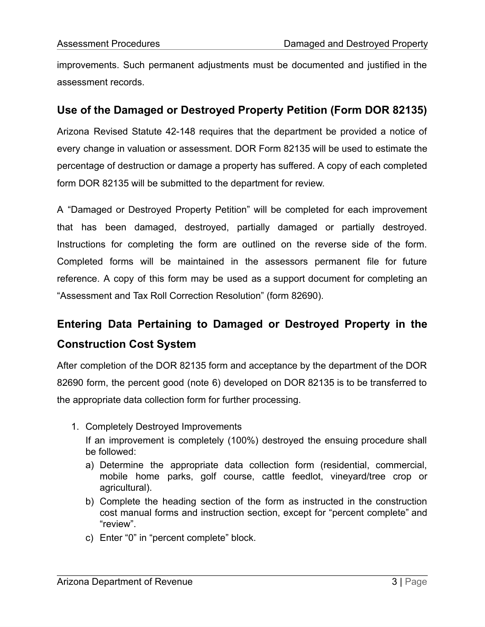improvements. Such permanent adjustments must be documented and justified in the assessment records.

### **Use of the Damaged or Destroyed Property Petition (Form DOR 82135)**

Arizona Revised Statute 42-148 requires that the department be provided a notice of every change in valuation or assessment. DOR Form 82135 will be used to estimate the percentage of destruction or damage a property has suffered. A copy of each completed form DOR 82135 will be submitted to the department for review.

A "Damaged or Destroyed Property Petition" will be completed for each improvement that has been damaged, destroyed, partially damaged or partially destroyed. Instructions for completing the form are outlined on the reverse side of the form. Completed forms will be maintained in the assessors permanent file for future reference. A copy of this form may be used as a support document for completing an "Assessment and Tax Roll Correction Resolution" (form 82690).

# **Entering Data Pertaining to Damaged or Destroyed Property in the Construction Cost System**

After completion of the DOR 82135 form and acceptance by the department of the DOR 82690 form, the percent good (note 6) developed on DOR 82135 is to be transferred to the appropriate data collection form for further processing.

- 1. Completely Destroyed Improvements If an improvement is completely (100%) destroyed the ensuing procedure shall be followed:
	- a) Determine the appropriate data collection form (residential, commercial, mobile home parks, golf course, cattle feedlot, vineyard/tree crop or agricultural).
	- b) Complete the heading section of the form as instructed in the construction cost manual forms and instruction section, except for "percent complete" and "review".
	- c) Enter "0" in "percent complete" block.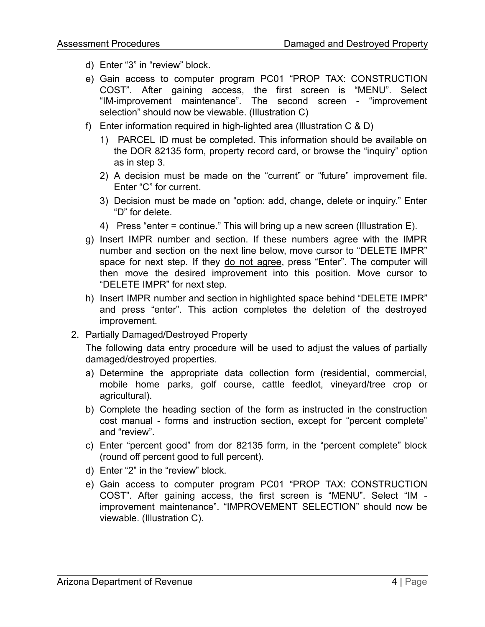- d) Enter "3" in "review" block.
- e) Gain access to computer program PC01 "PROP TAX: CONSTRUCTION COST". After gaining access, the first screen is "MENU". Select "IM-improvement maintenance". The second screen - "improvement selection" should now be viewable. (Illustration C)
- f) Enter information required in high-lighted area (Illustration C & D)
	- 1) PARCEL ID must be completed. This information should be available on the DOR 82135 form, property record card, or browse the "inquiry" option as in step 3.
	- 2) A decision must be made on the "current" or "future" improvement file. Enter "C" for current.
	- 3) Decision must be made on "option: add, change, delete or inquiry." Enter "D" for delete.
	- 4) Press "enter = continue." This will bring up a new screen (Illustration E).
- g) Insert IMPR number and section. If these numbers agree with the IMPR number and section on the next line below, move cursor to "DELETE IMPR" space for next step. If they do not agree, press "Enter". The computer will then move the desired improvement into this position. Move cursor to "DELETE IMPR" for next step.
- h) Insert IMPR number and section in highlighted space behind "DELETE IMPR" and press "enter". This action completes the deletion of the destroyed improvement.
- 2. Partially Damaged/Destroyed Property

The following data entry procedure will be used to adjust the values of partially damaged/destroyed properties.

- a) Determine the appropriate data collection form (residential, commercial, mobile home parks, golf course, cattle feedlot, vineyard/tree crop or agricultural).
- b) Complete the heading section of the form as instructed in the construction cost manual - forms and instruction section, except for "percent complete" and "review".
- c) Enter "percent good" from dor 82135 form, in the "percent complete" block (round off percent good to full percent).
- d) Enter "2" in the "review" block.
- e) Gain access to computer program PC01 "PROP TAX: CONSTRUCTION COST". After gaining access, the first screen is "MENU". Select "IM improvement maintenance". "IMPROVEMENT SELECTION" should now be viewable. (Illustration C).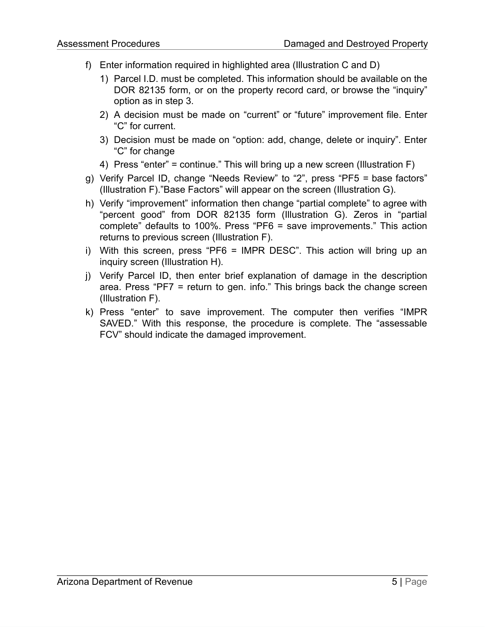- f) Enter information required in highlighted area (Illustration C and D)
	- 1) Parcel I.D. must be completed. This information should be available on the DOR 82135 form, or on the property record card, or browse the "inquiry" option as in step 3.
	- 2) A decision must be made on "current" or "future" improvement file. Enter "C" for current.
	- 3) Decision must be made on "option: add, change, delete or inquiry". Enter "C" for change
	- 4) Press "enter" = continue." This will bring up a new screen (Illustration F)
- g) Verify Parcel ID, change "Needs Review" to "2", press "PF5 = base factors" (Illustration F)."Base Factors" will appear on the screen (Illustration G).
- h) Verify "improvement" information then change "partial complete" to agree with "percent good" from DOR 82135 form (Illustration G). Zeros in "partial complete" defaults to 100%. Press "PF6 = save improvements." This action returns to previous screen (Illustration F).
- i) With this screen, press "PF6 = IMPR DESC". This action will bring up an inquiry screen (Illustration H).
- j) Verify Parcel ID, then enter brief explanation of damage in the description area. Press "PF7 = return to gen. info." This brings back the change screen (Illustration F).
- k) Press "enter" to save improvement. The computer then verifies "IMPR SAVED." With this response, the procedure is complete. The "assessable FCV" should indicate the damaged improvement.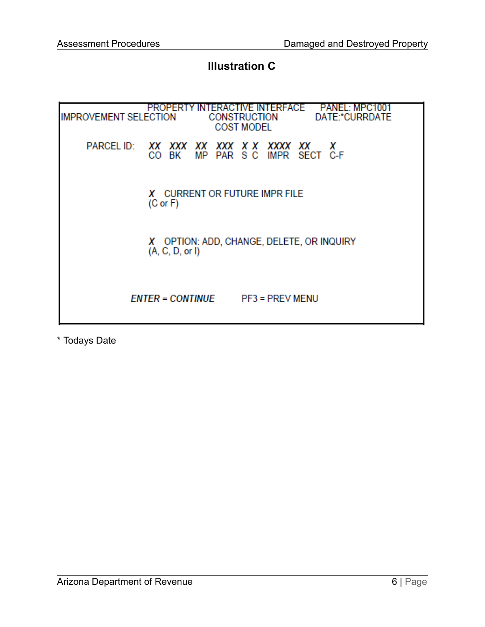### **Illustration C**

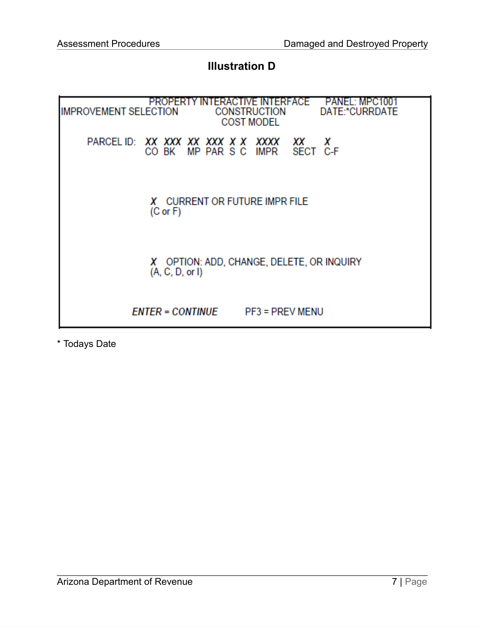### **Illustration D**

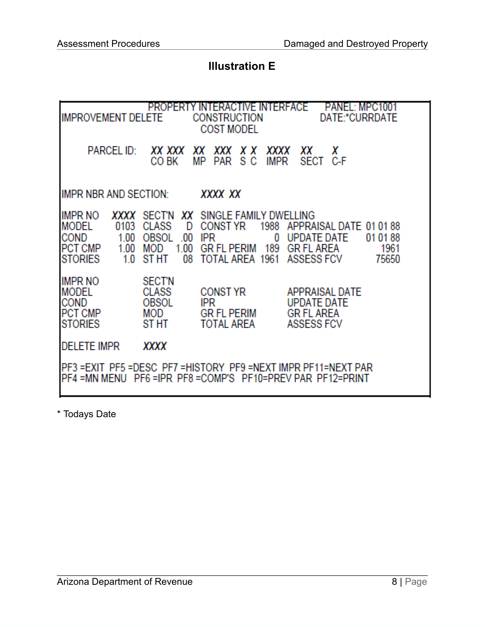### **Illustration E**

| PANEL: MPC1001<br>PROPERTY INTERACTIVE INTERFACE<br>DATE:*CURRDATE<br><b>IMPROVEMENT DELETE</b><br>CONSTRUCTION<br><b>COST MODEL</b>                           |                                                                        |                                                                                                                                           |                                                                                          |  |
|----------------------------------------------------------------------------------------------------------------------------------------------------------------|------------------------------------------------------------------------|-------------------------------------------------------------------------------------------------------------------------------------------|------------------------------------------------------------------------------------------|--|
| <b>PARCEL ID:</b>                                                                                                                                              | XX XXX<br>CO BK                                                        | XХ<br>XXX<br>x x<br>XXXX<br>s c<br>МP<br>PAR<br>IMPR                                                                                      | x<br>XХ<br>SECT C-F                                                                      |  |
| IMPR NBR AND SECTION:<br>XXXX XX                                                                                                                               |                                                                        |                                                                                                                                           |                                                                                          |  |
| IMPR NO<br>XXXX<br><b>MODEL</b><br>0103<br><b>COND</b><br>1.00<br>1.00<br>PCT CMP<br><b>STORIES</b><br>1.0                                                     | <b>CLASS</b><br>D<br>OBSOL<br>.00<br>1.00<br>MOD<br><b>ST HT</b><br>08 | SECT'N XX SINGLE FAMILY DWELLING<br><b>CONST YR</b><br>1988<br><b>IPR</b><br>0<br><b>GR FL PERIM</b><br>189<br>TOTAL AREA 1961 ASSESS FCV | APPRAISAL DATE 01 01 88<br>UPDATE DATE<br>01 01 88<br><b>GR FL AREA</b><br>1961<br>75650 |  |
| <b>IMPR NO</b><br><b>MODEL</b><br>COND<br><b>PCT CMP</b><br><b>STORIES</b>                                                                                     | <b>SECT'N</b><br><b>CLASS</b><br>OBSOL<br>MOD<br>ST HT                 | <b>CONST YR</b><br><b>IPR</b><br><b>GR FL PERIM</b><br><b>TOTAL AREA</b>                                                                  | APPRAISAL DATE<br><b>UPDATE DATE</b><br><b>GR FL AREA</b><br><b>ASSESS FCV</b>           |  |
| <b>DELETE IMPR</b><br>XXXX                                                                                                                                     |                                                                        |                                                                                                                                           |                                                                                          |  |
| IPF3 =EXIT_PF5 =DESC_PF7 =HISTORY_PF9 =NEXT IMPR                            PF11=NEXT PAR<br>PF4 = MN MENU PF6 = IPR PF8 = COMP'S PF10 = PREV PAR PF12 = PRINT |                                                                        |                                                                                                                                           |                                                                                          |  |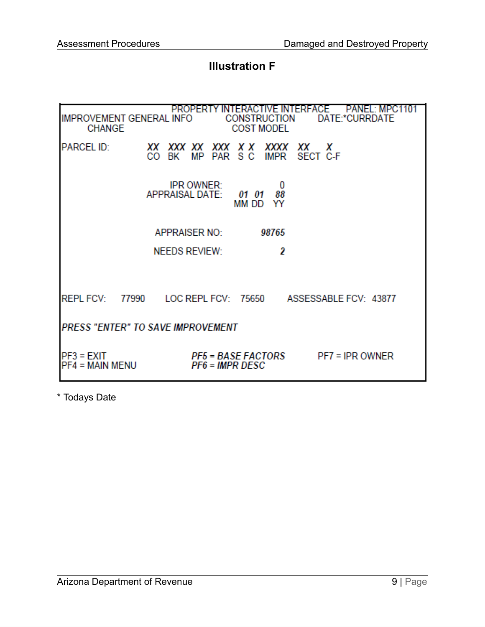## **Illustration F**

| PROPERTY INTERACTIVE INTERFACE<br><b>PANEL: MPC</b><br><b>IMPROVEMENT GENERAL INFO</b><br>DATE:*CURRDATE<br><b>CONSTRUCTION</b><br><b>CHANGE</b><br><b>COST MODEL</b> |          |                                             |                                                     |                          |                     |                       |  |
|-----------------------------------------------------------------------------------------------------------------------------------------------------------------------|----------|---------------------------------------------|-----------------------------------------------------|--------------------------|---------------------|-----------------------|--|
| <b>PARCEL ID:</b>                                                                                                                                                     | XХ<br>CO | XXX XX<br>MP<br>ВK                          | XXX<br>PAR SC                                       | x x                      | XXXX<br><b>IMPR</b> | XХ<br>X<br>SECT C-F   |  |
|                                                                                                                                                                       |          | <b>IPR OWNER:</b><br><b>APPRAISAL DATE:</b> |                                                     | 01<br>01<br><b>MM DD</b> | 0<br>88<br>YY       |                       |  |
|                                                                                                                                                                       |          | <b>APPRAISER NO:</b>                        |                                                     |                          | 98765               |                       |  |
|                                                                                                                                                                       |          | <b>NEEDS REVIEW:</b>                        |                                                     |                          | 2                   |                       |  |
| <b>REPL FCV:</b>                                                                                                                                                      | 77990    | LOC REPL FCV: 75650                         |                                                     |                          |                     | ASSESSABLE FCV: 43877 |  |
| <b>PRESS "ENTER" TO SAVE IMPROVEMENT</b>                                                                                                                              |          |                                             |                                                     |                          |                     |                       |  |
| PF3 = EXIT<br><b>PF4 = MAIN MENU</b>                                                                                                                                  |          |                                             | <b>PF5 = BASE FACTORS</b><br><b>PF6 = IMPR DESC</b> |                          |                     | $PF7 = IPR$ OWNER     |  |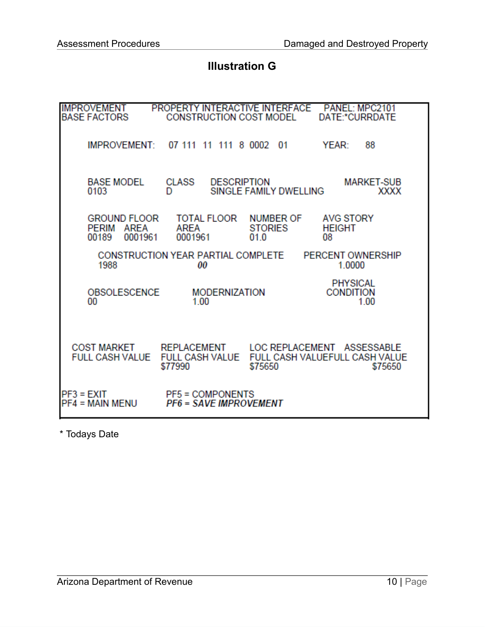### **Illustration G**

| <b>IMPROVEMENT</b><br>BASE FACTORS                                    | PROPERTY INTERACTIVE INTERFACE PANEL: MPC2101<br>CONSTRUCTION COST MODEL |                                     | DATE:*CURRDATE                              |
|-----------------------------------------------------------------------|--------------------------------------------------------------------------|-------------------------------------|---------------------------------------------|
| <b>IMPROVEMENT:</b>                                                   | 07 111 11 111 8 0002 01                                                  |                                     | YEAR:<br>88                                 |
| <b>BASE MODEL</b><br>0103                                             | CLASS<br><b>DESCRIPTION</b><br>D                                         | SINGLE FAMILY DWELLING              | <b>MARKET-SUB</b><br><b>XXXX</b>            |
| GROUND FLOOR<br>AREA<br><b>PERIM</b><br>00189<br>0001961              | TOTAL FLOOR<br>AREA<br>0001961                                           | NUMBER OF<br><b>STORIES</b><br>01.0 | <b>AVG STORY</b><br><b>HEIGHT</b><br>08     |
| 1988                                                                  | CONSTRUCTION YEAR PARTIAL COMPLETE<br>00                                 |                                     | <b>PERCENT OWNERSHIP</b><br>1.0000          |
| <b>OBSOLESCENCE</b><br>00                                             | <b>MODERNIZATION</b><br>1.00                                             |                                     | <b>PHYSICAL</b><br><b>CONDITION</b><br>1.00 |
| COST MARKET REPLACEMENT LOC REPLACEMENT ASSESSABLE<br>FULL CASH VALUE | <b>FULL CASH VALUE</b><br>\$77990                                        | \$75650                             | FULL CASH VALUEFULL CASH VALUE<br>\$75650   |
| $PF3 = EXIT$<br>PF4 = MAIN MENU                                       | <b>PF5 = COMPONENTS</b><br><b>PF6 = SAVE IMPROVEMENT</b>                 |                                     |                                             |